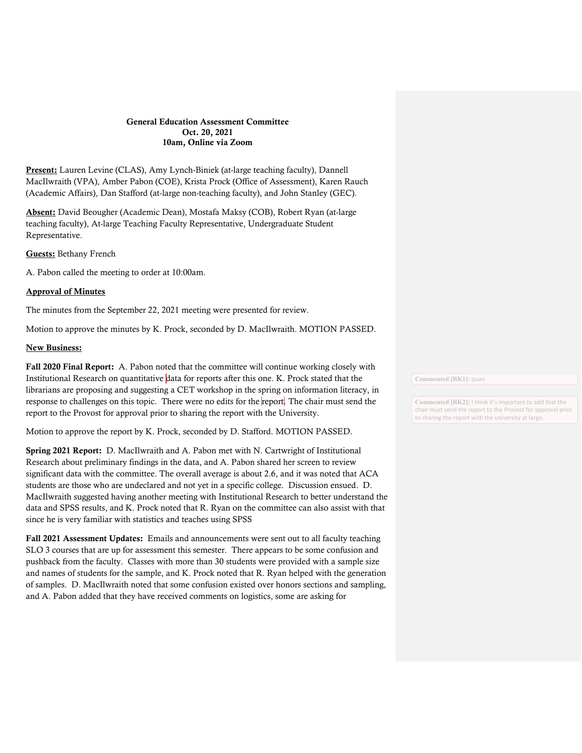## General Education Assessment Committee Oct. 20, 2021 10am, Online via Zoom

Present: Lauren Levine (CLAS), Amy Lynch-Biniek (at-large teaching faculty), Dannell MacIlwraith (VPA), Amber Pabon (COE), Krista Prock (Office of Assessment), Karen Rauch (Academic Affairs), Dan Stafford (at-large non-teaching faculty), and John Stanley (GEC).

Absent: David Beougher (Academic Dean), Mostafa Maksy (COB), Robert Ryan (at-large teaching faculty), At-large Teaching Faculty Representative, Undergraduate Student Representative.

Guests: Bethany French

A. Pabon called the meeting to order at 10:00am.

## Approval of Minutes

The minutes from the September 22, 2021 meeting were presented for review.

Motion to approve the minutes by K. Prock, seconded by D. MacIlwraith. MOTION PASSED.

## New Business:

Fall 2020 Final Report: A. Pabon noted that the committee will continue working closely with Institutional Research on quantitative data for reports after this one. K. Prock stated that the librarians are proposing and suggesting a CET workshop in the spring on information literacy, in response to challenges on this topic. There were no edits for the report. The chair must send the report to the Provost for approval prior to sharing the report with the University.

Motion to approve the report by K. Prock, seconded by D. Stafford. MOTION PASSED.

Spring 2021 Report: D. MacIlwraith and A. Pabon met with N. Cartwright of Institutional Research about preliminary findings in the data, and A. Pabon shared her screen to review significant data with the committee. The overall average is about 2.6, and it was noted that ACA students are those who are undeclared and not yet in a specific college. Discussion ensued. D. MacIlwraith suggested having another meeting with Institutional Research to better understand the data and SPSS results, and K. Prock noted that R. Ryan on the committee can also assist with that since he is very familiar with statistics and teaches using SPSS

Fall 2021 Assessment Updates: Emails and announcements were sent out to all faculty teaching SLO 3 courses that are up for assessment this semester. There appears to be some confusion and pushback from the faculty. Classes with more than 30 students were provided with a sample size and names of students for the sample, and K. Prock noted that R. Ryan helped with the generation of samples. D. MacIlwraith noted that some confusion existed over honors sections and sampling, and A. Pabon added that they have received comments on logistics, some are asking for

**Commented [RK1]:** quan

**Commented [RK2]:** I think it's important to add that the chair must send the report to the Provost for approval prior to sharing the report with the university at large.